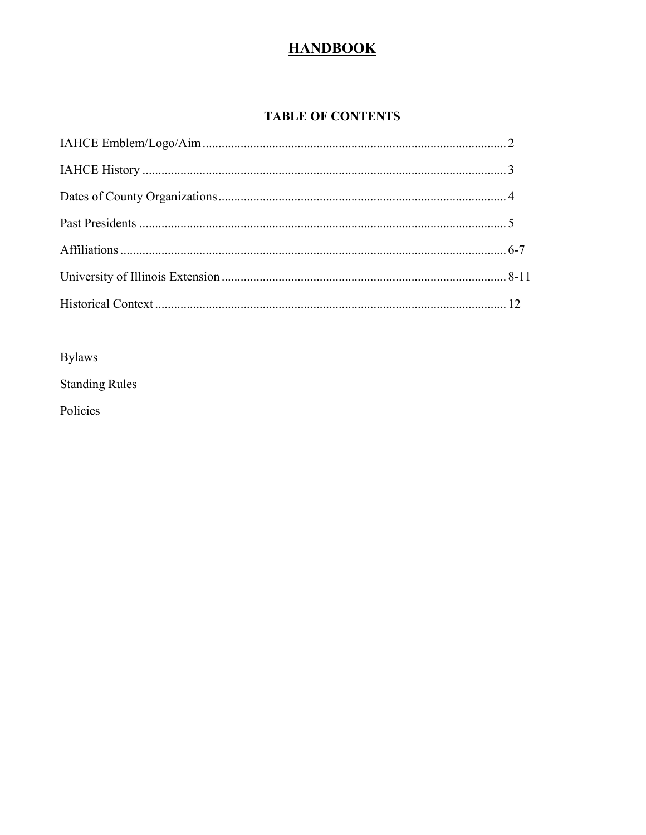# **HANDBOOK**

### **TABLE OF CONTENTS**

Bylaws

**Standing Rules** 

Policies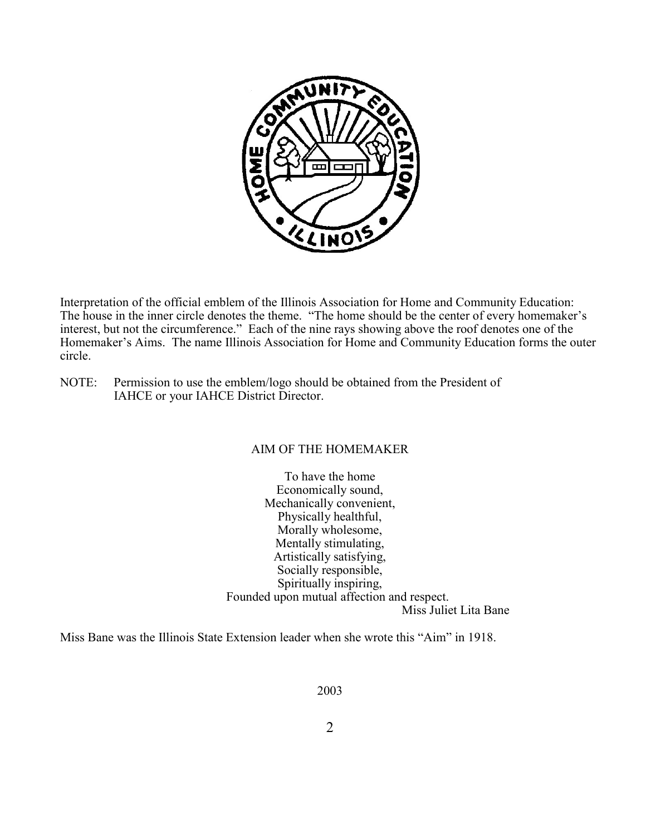

Interpretation of the official emblem of the Illinois Association for Home and Community Education: The house in the inner circle denotes the theme. "The home should be the center of every homemaker's interest, but not the circumference." Each of the nine rays showing above the roof denotes one of the Homemaker's Aims. The name Illinois Association for Home and Community Education forms the outer circle.

NOTE: Permission to use the emblem/logo should be obtained from the President of IAHCE or your IAHCE District Director.

### AIM OF THE HOMEMAKER

To have the home Economically sound, Mechanically convenient, Physically healthful, Morally wholesome, Mentally stimulating, Artistically satisfying, Socially responsible, Spiritually inspiring, Founded upon mutual affection and respect. Miss Juliet Lita Bane

Miss Bane was the Illinois State Extension leader when she wrote this "Aim" in 1918.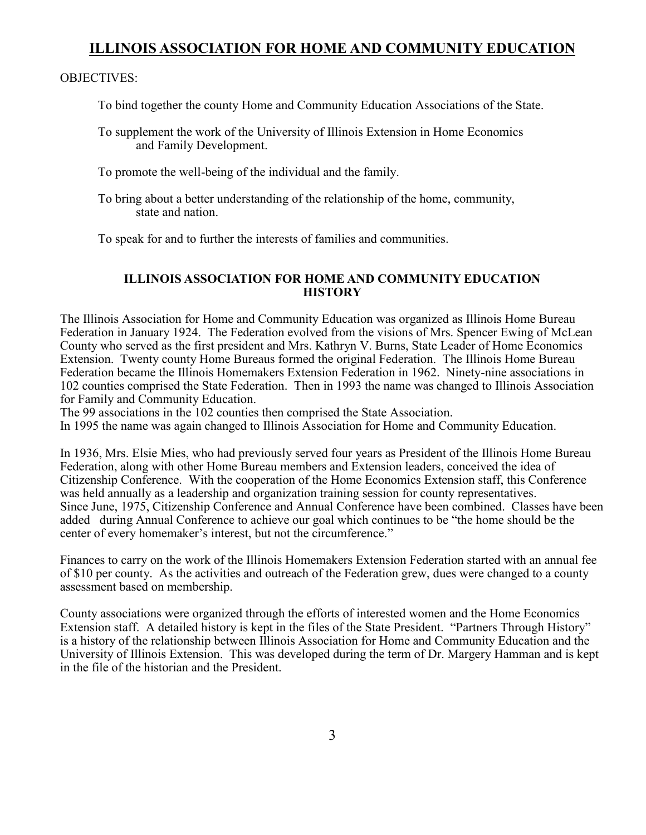### **ILLINOIS ASSOCIATION FOR HOME AND COMMUNITY EDUCATION**

#### OBJECTIVES:

To bind together the county Home and Community Education Associations of the State.

To supplement the work of the University of Illinois Extension in Home Economics and Family Development.

To promote the well-being of the individual and the family.

To bring about a better understanding of the relationship of the home, community, state and nation.

To speak for and to further the interests of families and communities.

#### **ILLINOIS ASSOCIATION FOR HOME AND COMMUNITY EDUCATION HISTORY**

The Illinois Association for Home and Community Education was organized as Illinois Home Bureau Federation in January 1924. The Federation evolved from the visions of Mrs. Spencer Ewing of McLean County who served as the first president and Mrs. Kathryn V. Burns, State Leader of Home Economics Extension. Twenty county Home Bureaus formed the original Federation. The Illinois Home Bureau Federation became the Illinois Homemakers Extension Federation in 1962. Ninety-nine associations in 102 counties comprised the State Federation. Then in 1993 the name was changed to Illinois Association for Family and Community Education.

The 99 associations in the 102 counties then comprised the State Association.

In 1995 the name was again changed to Illinois Association for Home and Community Education.

In 1936, Mrs. Elsie Mies, who had previously served four years as President of the Illinois Home Bureau Federation, along with other Home Bureau members and Extension leaders, conceived the idea of Citizenship Conference. With the cooperation of the Home Economics Extension staff, this Conference was held annually as a leadership and organization training session for county representatives. Since June, 1975, Citizenship Conference and Annual Conference have been combined. Classes have been added during Annual Conference to achieve our goal which continues to be "the home should be the center of every homemaker's interest, but not the circumference."

Finances to carry on the work of the Illinois Homemakers Extension Federation started with an annual fee of \$10 per county. As the activities and outreach of the Federation grew, dues were changed to a county assessment based on membership.

County associations were organized through the efforts of interested women and the Home Economics Extension staff. A detailed history is kept in the files of the State President. "Partners Through History" is a history of the relationship between Illinois Association for Home and Community Education and the University of Illinois Extension. This was developed during the term of Dr. Margery Hamman and is kept in the file of the historian and the President.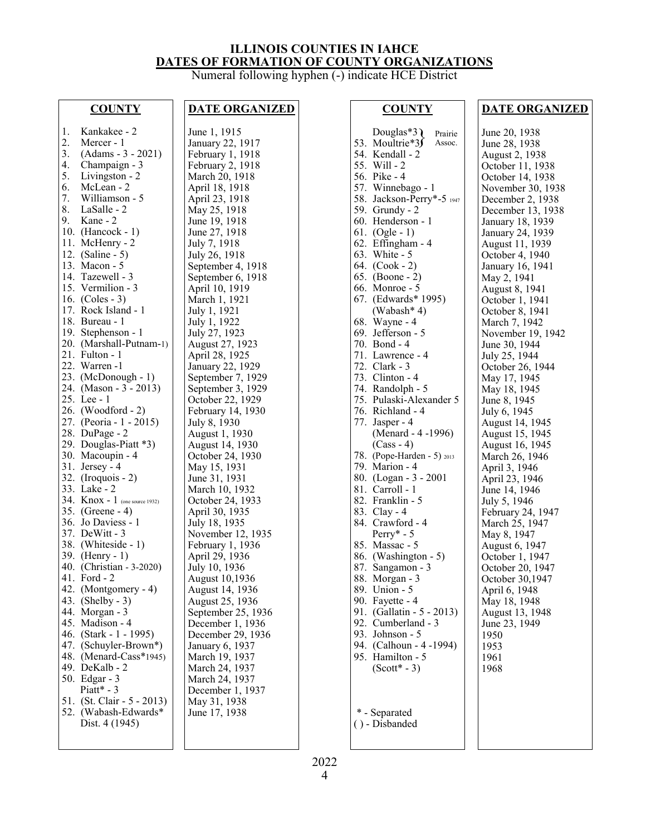### **ILLINOIS COUNTIES IN IAHCE DATES OF FORMATION OF COUNTY ORGANIZATIONS**

Numeral following hyphen (-) indicate HCE District

#### **COUNTY**

| 1.<br>2.<br>3.<br>$\frac{4}{5}$ .<br>6.<br>7.<br>8.<br>9.<br>10.<br>11.<br>12.<br>13.<br>16.<br>17.<br>18.<br>20.<br>21.<br>22.<br>24.<br>25.<br>27.<br>28.<br>29.<br>30.<br>31.<br>32.<br>33.<br>34.<br>41.<br>42.<br>43.<br>44.<br>45.<br>46.<br>47. | Kankakee - 2<br>Mercer - 1<br>(Adams - 3 - 2021)<br>Champaign - 3<br>Livingston - 2<br>McLean - 2<br>Williamson - 5<br>LaSalle - 2<br>Kane - 2<br>(Hancock - 1)<br>McHenry - 2<br>$(Saline - 5)$<br>Macon - 5<br>14. Tazewell - 3<br>15. Vermilion - $3 \times 16 \times 12$<br>$(Coles - 3)$<br>Rock Island - 1<br>Bureau - 1<br>19. Stephenson - 1<br>(Marshall-Putnam-1)<br>Fulton - 1<br>Warren -1<br>23. (McDonough - 1)<br>(Mason - 3 - 2013)<br>Lee $-1$<br>26. (Woodford - 2)<br>(Peoria - 1 - 2015)<br>DuPage - 2<br>Douglas-Piatt *3)<br>Macoupin - 4<br>Jersey - 4<br>$($ Iroquois - 2 $)$<br>Lake - 2<br>$K$ nox - 1 (one source 1932)<br>35. (Greene - 4)<br>36. Jo Daviess - 1<br>37. DeWitt - 3<br>38. (Whiteside - 1)<br>39. (Henry - 1)<br>40. (Christian - 3-2020)<br>Ford $-2$<br>(Montgomery - 4)<br>$(Shelby - 3)$<br>Morgan - 3<br>Madison - 4<br>(Stark - 1 - 1995)<br>(Schuyler-Brown*) |
|--------------------------------------------------------------------------------------------------------------------------------------------------------------------------------------------------------------------------------------------------------|-----------------------------------------------------------------------------------------------------------------------------------------------------------------------------------------------------------------------------------------------------------------------------------------------------------------------------------------------------------------------------------------------------------------------------------------------------------------------------------------------------------------------------------------------------------------------------------------------------------------------------------------------------------------------------------------------------------------------------------------------------------------------------------------------------------------------------------------------------------------------------------------------------------------|
|                                                                                                                                                                                                                                                        |                                                                                                                                                                                                                                                                                                                                                                                                                                                                                                                                                                                                                                                                                                                                                                                                                                                                                                                 |
|                                                                                                                                                                                                                                                        |                                                                                                                                                                                                                                                                                                                                                                                                                                                                                                                                                                                                                                                                                                                                                                                                                                                                                                                 |
|                                                                                                                                                                                                                                                        |                                                                                                                                                                                                                                                                                                                                                                                                                                                                                                                                                                                                                                                                                                                                                                                                                                                                                                                 |
|                                                                                                                                                                                                                                                        |                                                                                                                                                                                                                                                                                                                                                                                                                                                                                                                                                                                                                                                                                                                                                                                                                                                                                                                 |
| 48.                                                                                                                                                                                                                                                    | (Menard-Cass*1945)                                                                                                                                                                                                                                                                                                                                                                                                                                                                                                                                                                                                                                                                                                                                                                                                                                                                                              |
| 49.                                                                                                                                                                                                                                                    |                                                                                                                                                                                                                                                                                                                                                                                                                                                                                                                                                                                                                                                                                                                                                                                                                                                                                                                 |
| 50.                                                                                                                                                                                                                                                    | DeKalb - 2<br>Edgar - 3                                                                                                                                                                                                                                                                                                                                                                                                                                                                                                                                                                                                                                                                                                                                                                                                                                                                                         |
|                                                                                                                                                                                                                                                        | $Piatt*-3$                                                                                                                                                                                                                                                                                                                                                                                                                                                                                                                                                                                                                                                                                                                                                                                                                                                                                                      |
|                                                                                                                                                                                                                                                        | (St. Clair - 5 - 2013)                                                                                                                                                                                                                                                                                                                                                                                                                                                                                                                                                                                                                                                                                                                                                                                                                                                                                          |
| 51.                                                                                                                                                                                                                                                    |                                                                                                                                                                                                                                                                                                                                                                                                                                                                                                                                                                                                                                                                                                                                                                                                                                                                                                                 |
| 52.                                                                                                                                                                                                                                                    | (Wabash-Edwards*                                                                                                                                                                                                                                                                                                                                                                                                                                                                                                                                                                                                                                                                                                                                                                                                                                                                                                |
|                                                                                                                                                                                                                                                        | Dist. 4 (1945)                                                                                                                                                                                                                                                                                                                                                                                                                                                                                                                                                                                                                                                                                                                                                                                                                                                                                                  |
|                                                                                                                                                                                                                                                        |                                                                                                                                                                                                                                                                                                                                                                                                                                                                                                                                                                                                                                                                                                                                                                                                                                                                                                                 |

#### **DATE ORGANIZED**

June 1, 1915 January 22, 1917 February 1, 1918 February 2, 1918 March 20, 1918 April 18, 1918 April 23, 1918 May 25, 1918 June 19, 1918 June 27, 1918 July 7, 1918 July 26, 1918 September 4, 1918 September 6, 1918 April 10, 1919 March 1, 1921 July 1, 1921 July 1, 1922 July 27, 1923 August 27, 1923 April 28, 1925 January 22, 1929 September 7, 1929 September 3, 1929 October 22, 1929 February 14, 1930 July 8, 1930 August 1, 1930 August 14, 1930 October 24, 1930 May 15, 1931 June 31, 1931 March 10, 1932 October 24, 1933 April 30, 1935 July 18, 1935 November 12, 1935 February 1, 1936 April 29, 1936 July 10, 1936 August 10,1936 August 14, 1936 August 25, 1936 September 25, 1936 December 1, 1936 December 29, 1936 January 6, 1937 March 19, 1937 March 24, 1937 March 24, 1937 December 1, 1937 May 31, 1938 June 17, 1938

#### **COUNTY**

Douglas\*3<br>
53. Moultrie\*3<br>
Assoc. 53. Moultrie\*3 54. Kendall - 2 55. Will - 2 56. Pike - 4 57. Winnebago - 1 58. Jackson-Perry\*-5 <sup>1947</sup> 59. Grundy - 2 60. Henderson - 1 61. (Ogle - 1) 62. Effingham - 4 63. White - 5 64. (Cook - 2) 65. (Boone - 2) 66. Monroe - 5 67. (Edwards\* 1995) (Wabash\* 4) 68. Wayne - 4 69. Jefferson - 5 70. Bond - 4 71. Lawrence - 4 72. Clark - 3 73. Clinton - 4 74. Randolph - 5 75. Pulaski-Alexander 5 76. Richland - 4 77. Jasper - 4 (Menard - 4 -1996) (Cass - 4) 78. (Pope-Harden - 5) <sup>2013</sup> 79. Marion - 4 80. (Logan - 3 - 2001 81. Carroll - 1 82. Franklin - 5 83. Clay - 4 84. Crawford - 4 Perry\* - 5 85. Massac - 5 86. (Washington - 5) 87. Sangamon - 3 88. Morgan - 3 89. Union - 5 90. Fayette - 4 91. (Gallatin - 5 - 2013) 92. Cumberland - 3 93. Johnson - 5 94. (Calhoun - 4 -1994) 95. Hamilton - 5  $(Scott*-3)$ \* - Separated Assoc.

( ) - Disbanded

#### **DATE ORGANIZED**

June 20, 1938 June 28, 1938 August 2, 1938 October 11, 1938 October 14, 1938 November 30, 1938 December 2, 1938 December 13, 1938 January 18, 1939 January 24, 1939 August 11, 1939 October 4, 1940 January 16, 1941 May 2, 1941 August 8, 1941 October 1, 1941 October 8, 1941 March 7, 1942 November 19, 1942 June 30, 1944 July 25, 1944 October 26, 1944 May 17, 1945 May 18, 1945 June 8, 1945 July 6, 1945 August 14, 1945 August 15, 1945 August 16, 1945 March 26, 1946 April 3, 1946 April 23, 1946 June 14, 1946 July 5, 1946 February 24, 1947 March 25, 1947 May 8, 1947 August 6, 1947 October 1, 1947 October 20, 1947 October 30,1947 April 6, 1948 May 18, 1948 August 13, 1948 June 23, 1949 1950 1953 1961 1968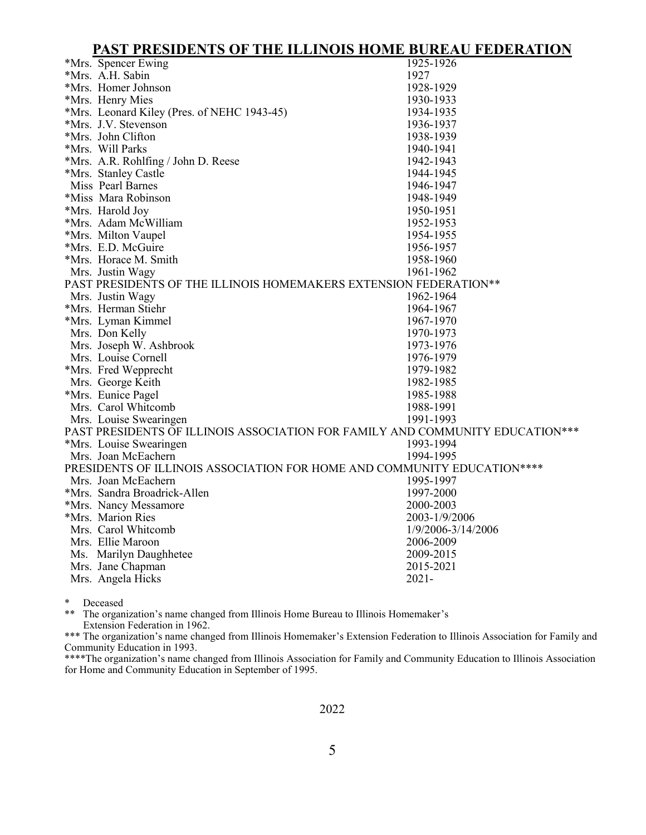**PAST PRESIDENTS OF THE ILLINOIS HOME BUREAU FEDERATION**

|                                                                               | TAST I KESIDERI S OF THE ILLIROIS HOME DOKEAU FEDEKATION                 |                    |  |  |
|-------------------------------------------------------------------------------|--------------------------------------------------------------------------|--------------------|--|--|
|                                                                               | *Mrs. Spencer Ewing                                                      | 1925-1926          |  |  |
|                                                                               | *Mrs. A.H. Sabin                                                         | 1927               |  |  |
|                                                                               | *Mrs. Homer Johnson                                                      | 1928-1929          |  |  |
|                                                                               | *Mrs. Henry Mies                                                         | 1930-1933          |  |  |
|                                                                               | *Mrs. Leonard Kiley (Pres. of NEHC 1943-45)                              | 1934-1935          |  |  |
|                                                                               | *Mrs. J.V. Stevenson                                                     | 1936-1937          |  |  |
|                                                                               | *Mrs. John Clifton                                                       | 1938-1939          |  |  |
|                                                                               | *Mrs. Will Parks                                                         | 1940-1941          |  |  |
|                                                                               | *Mrs. A.R. Rohlfing / John D. Reese                                      | 1942-1943          |  |  |
|                                                                               | *Mrs. Stanley Castle                                                     | 1944-1945          |  |  |
|                                                                               | Miss Pearl Barnes                                                        | 1946-1947          |  |  |
|                                                                               | *Miss Mara Robinson                                                      | 1948-1949          |  |  |
|                                                                               | *Mrs. Harold Joy                                                         | 1950-1951          |  |  |
|                                                                               | *Mrs. Adam McWilliam                                                     | 1952-1953          |  |  |
|                                                                               | *Mrs. Milton Vaupel                                                      | 1954-1955          |  |  |
|                                                                               | *Mrs. E.D. McGuire                                                       | 1956-1957          |  |  |
|                                                                               | *Mrs. Horace M. Smith                                                    | 1958-1960          |  |  |
|                                                                               | Mrs. Justin Wagy                                                         | 1961-1962          |  |  |
|                                                                               | PAST PRESIDENTS OF THE ILLINOIS HOMEMAKERS EXTENSION FEDERATION**        |                    |  |  |
|                                                                               | Mrs. Justin Wagy                                                         | 1962-1964          |  |  |
|                                                                               | *Mrs. Herman Stiehr                                                      | 1964-1967          |  |  |
|                                                                               | *Mrs. Lyman Kimmel                                                       | 1967-1970          |  |  |
|                                                                               | Mrs. Don Kelly                                                           | 1970-1973          |  |  |
|                                                                               | Mrs. Joseph W. Ashbrook                                                  | 1973-1976          |  |  |
|                                                                               | Mrs. Louise Cornell                                                      | 1976-1979          |  |  |
|                                                                               | *Mrs. Fred Wepprecht                                                     | 1979-1982          |  |  |
|                                                                               | Mrs. George Keith                                                        | 1982-1985          |  |  |
|                                                                               | *Mrs. Eunice Pagel                                                       | 1985-1988          |  |  |
|                                                                               | Mrs. Carol Whitcomb                                                      | 1988-1991          |  |  |
|                                                                               | Mrs. Louise Swearingen                                                   | 1991-1993          |  |  |
| PAST PRESIDENTS OF ILLINOIS ASSOCIATION FOR FAMILY AND COMMUNITY EDUCATION*** |                                                                          |                    |  |  |
|                                                                               | *Mrs. Louise Swearingen                                                  | 1993-1994          |  |  |
|                                                                               | Mrs. Joan McEachern                                                      | 1994-1995          |  |  |
|                                                                               | PRESIDENTS OF ILLINOIS ASSOCIATION FOR HOME AND COMMUNITY EDUCATION **** |                    |  |  |
|                                                                               | Mrs. Joan McEachern                                                      | 1995-1997          |  |  |
|                                                                               | *Mrs. Sandra Broadrick-Allen                                             | 1997-2000          |  |  |
|                                                                               | *Mrs. Nancy Messamore                                                    | 2000-2003          |  |  |
|                                                                               | *Mrs. Marion Ries                                                        | 2003-1/9/2006      |  |  |
|                                                                               | Mrs. Carol Whitcomb                                                      | 1/9/2006-3/14/2006 |  |  |
|                                                                               | Mrs. Ellie Maroon                                                        | 2006-2009          |  |  |
|                                                                               | Ms. Marilyn Daughhetee                                                   | 2009-2015          |  |  |
|                                                                               | Mrs. Jane Chapman                                                        | 2015-2021          |  |  |
|                                                                               | Mrs. Angela Hicks                                                        | $2021 -$           |  |  |
|                                                                               |                                                                          |                    |  |  |

\* Deceased<br>\*\* The organ

The organization's name changed from Illinois Home Bureau to Illinois Homemaker's Extension Federation in 1962.

\*\*\* The organization's name changed from Illinois Homemaker's Extension Federation to Illinois Association for Family and Community Education in 1993.

\*\*\*\*The organization's name changed from Illinois Association for Family and Community Education to Illinois Association for Home and Community Education in September of 1995.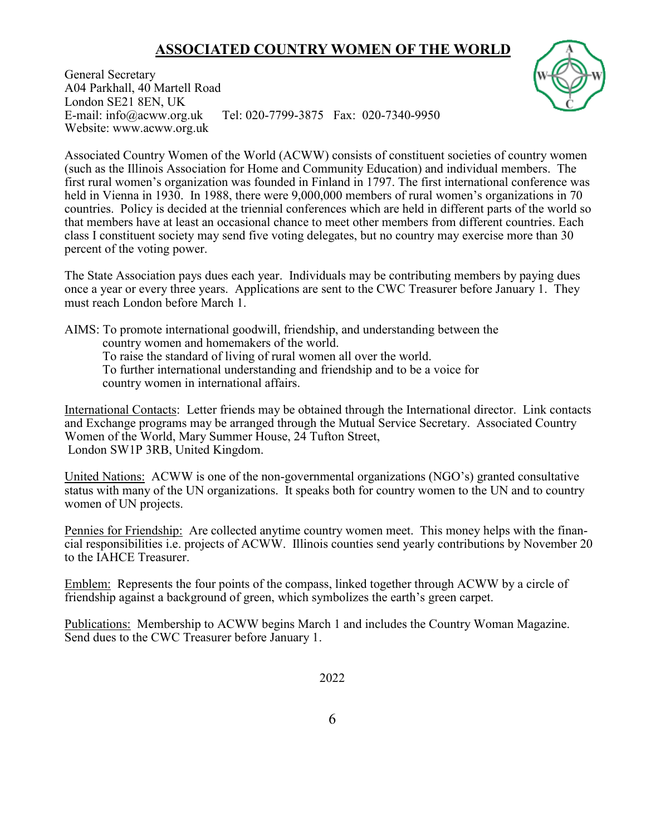# **ASSOCIATED COUNTRY WOMEN OF THE WORLD**



General Secretary A04 Parkhall, 40 Martell Road London SE21 8EN, UK E-mail: info@acww.org.uk Tel: 020-7799-3875 Fax: 020-7340-9950 Website: www.acww.org.uk

Associated Country Women of the World (ACWW) consists of constituent societies of country women (such as the Illinois Association for Home and Community Education) and individual members. The first rural women's organization was founded in Finland in 1797. The first international conference was held in Vienna in 1930. In 1988, there were 9,000,000 members of rural women's organizations in 70 countries. Policy is decided at the triennial conferences which are held in different parts of the world so that members have at least an occasional chance to meet other members from different countries. Each class I constituent society may send five voting delegates, but no country may exercise more than 30 percent of the voting power.

The State Association pays dues each year. Individuals may be contributing members by paying dues once a year or every three years. Applications are sent to the CWC Treasurer before January 1. They must reach London before March 1.

AIMS: To promote international goodwill, friendship, and understanding between the

country women and homemakers of the world.

To raise the standard of living of rural women all over the world.

To further international understanding and friendship and to be a voice for country women in international affairs.

International Contacts: Letter friends may be obtained through the International director. Link contacts and Exchange programs may be arranged through the Mutual Service Secretary. Associated Country Women of the World, Mary Summer House, 24 Tufton Street, London SW1P 3RB, United Kingdom.

United Nations: ACWW is one of the non-governmental organizations (NGO's) granted consultative status with many of the UN organizations. It speaks both for country women to the UN and to country women of UN projects.

Pennies for Friendship: Are collected anytime country women meet. This money helps with the financial responsibilities i.e. projects of ACWW. Illinois counties send yearly contributions by November 20 to the IAHCE Treasurer.

Emblem: Represents the four points of the compass, linked together through ACWW by a circle of friendship against a background of green, which symbolizes the earth's green carpet.

Publications: Membership to ACWW begins March 1 and includes the Country Woman Magazine. Send dues to the CWC Treasurer before January 1.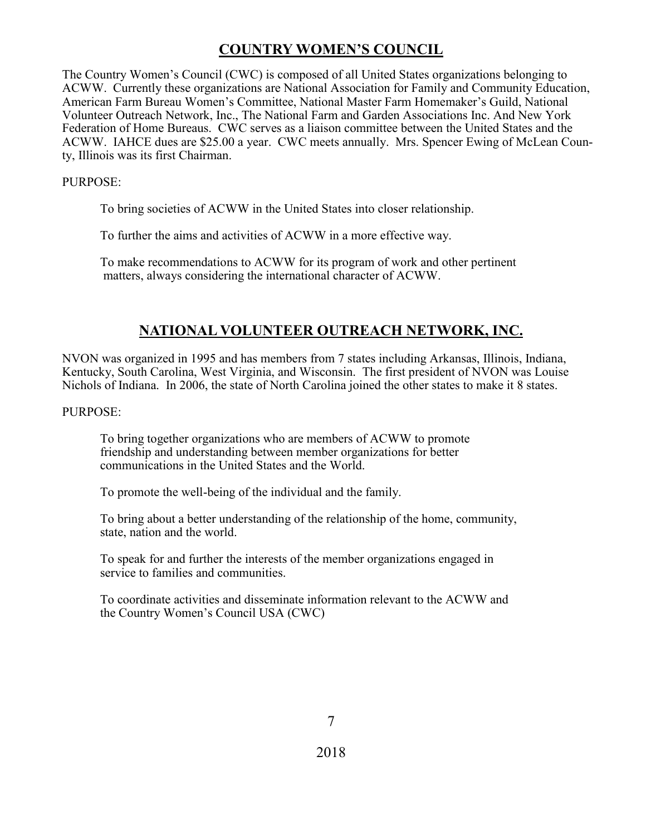## **COUNTRY WOMEN'S COUNCIL**

The Country Women's Council (CWC) is composed of all United States organizations belonging to ACWW. Currently these organizations are National Association for Family and Community Education, American Farm Bureau Women's Committee, National Master Farm Homemaker's Guild, National Volunteer Outreach Network, Inc., The National Farm and Garden Associations Inc. And New York Federation of Home Bureaus. CWC serves as a liaison committee between the United States and the ACWW. IAHCE dues are \$25.00 a year. CWC meets annually. Mrs. Spencer Ewing of McLean County, Illinois was its first Chairman.

#### PURPOSE:

To bring societies of ACWW in the United States into closer relationship.

To further the aims and activities of ACWW in a more effective way.

To make recommendations to ACWW for its program of work and other pertinent matters, always considering the international character of ACWW.

### **NATIONAL VOLUNTEER OUTREACH NETWORK, INC.**

NVON was organized in 1995 and has members from 7 states including Arkansas, Illinois, Indiana, Kentucky, South Carolina, West Virginia, and Wisconsin. The first president of NVON was Louise Nichols of Indiana. In 2006, the state of North Carolina joined the other states to make it 8 states.

PURPOSE:

To bring together organizations who are members of ACWW to promote friendship and understanding between member organizations for better communications in the United States and the World.

To promote the well-being of the individual and the family.

To bring about a better understanding of the relationship of the home, community, state, nation and the world.

To speak for and further the interests of the member organizations engaged in service to families and communities.

To coordinate activities and disseminate information relevant to the ACWW and the Country Women's Council USA (CWC)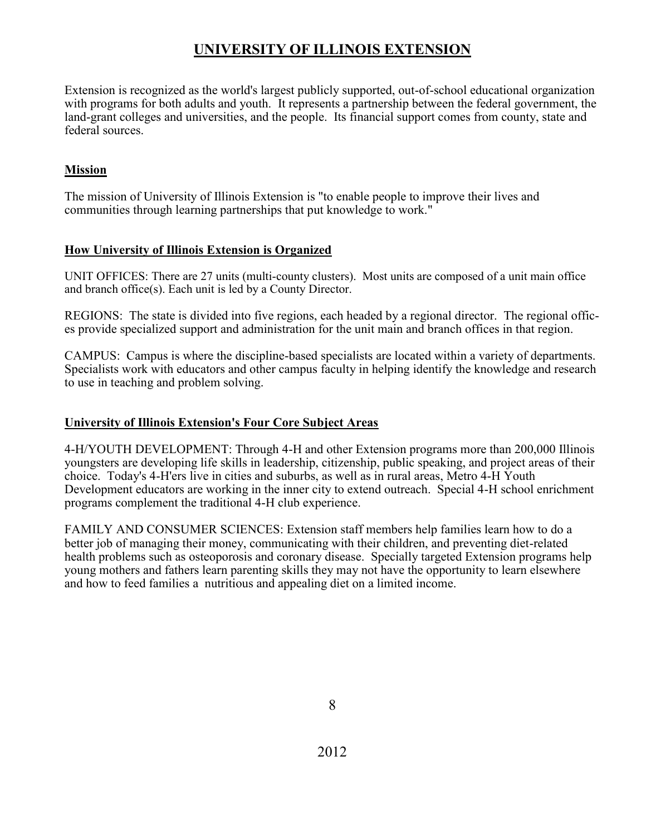# **UNIVERSITY OF ILLINOIS EXTENSION**

Extension is recognized as the world's largest publicly supported, out-of-school educational organization with programs for both adults and youth. It represents a partnership between the federal government, the land-grant colleges and universities, and the people. Its financial support comes from county, state and federal sources.

### **Mission**

The mission of University of Illinois Extension is "to enable people to improve their lives and communities through learning partnerships that put knowledge to work."

### **How University of Illinois Extension is Organized**

UNIT OFFICES: There are 27 units (multi-county clusters). Most units are composed of a unit main office and branch office(s). Each unit is led by a County Director.

REGIONS: The state is divided into five regions, each headed by a regional director. The regional offices provide specialized support and administration for the unit main and branch offices in that region.

CAMPUS: Campus is where the discipline-based specialists are located within a variety of departments. Specialists work with educators and other campus faculty in helping identify the knowledge and research to use in teaching and problem solving.

### **University of Illinois Extension's Four Core Subject Areas**

4-H/YOUTH DEVELOPMENT: Through 4-H and other Extension programs more than 200,000 Illinois youngsters are developing life skills in leadership, citizenship, public speaking, and project areas of their choice. Today's 4-H'ers live in cities and suburbs, as well as in rural areas, Metro 4-H Youth Development educators are working in the inner city to extend outreach. Special 4-H school enrichment programs complement the traditional 4-H club experience.

FAMILY AND CONSUMER SCIENCES: Extension staff members help families learn how to do a better job of managing their money, communicating with their children, and preventing diet-related health problems such as osteoporosis and coronary disease. Specially targeted Extension programs help young mothers and fathers learn parenting skills they may not have the opportunity to learn elsewhere and how to feed families a nutritious and appealing diet on a limited income.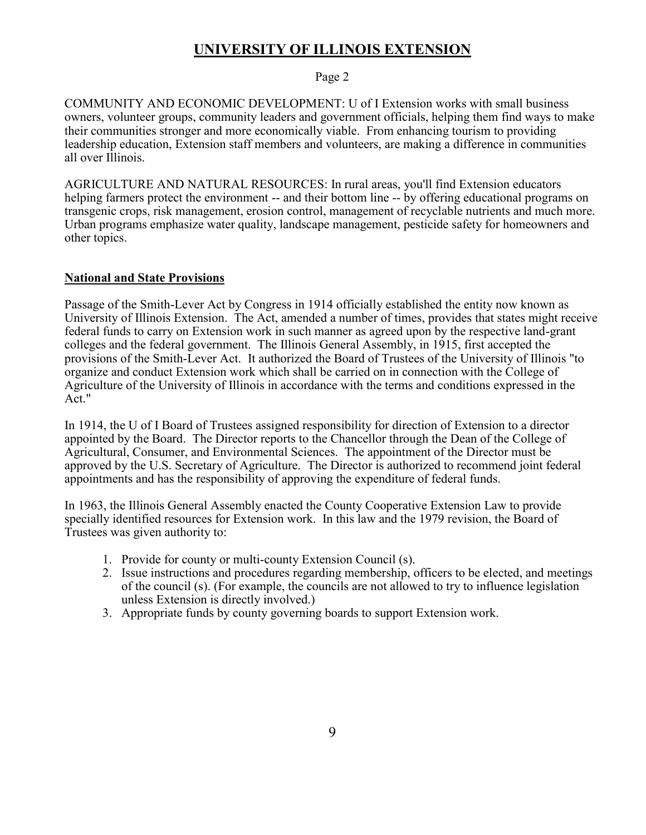### **UNIVERSITY OF ILLINOIS EXTENSION**

#### Page 2

COMMUNITY AND ECONOMIC DEVELOPMENT: U of I Extension works with small business owners, volunteer groups, community leaders and government officials, helping them find ways to make their communities stronger and more economically viable. From enhancing tourism to providing leadership education, Extension staff members and volunteers, are making a difference in communities all over Illinois.

AGRICULTURE AND NATURAL RESOURCES: In rural areas, you'll find Extension educators helping farmers protect the environment -- and their bottom line -- by offering educational programs on transgenic crops, risk management, erosion control, management of recyclable nutrients and much more. Urban programs emphasize water quality, landscape management, pesticide safety for homeowners and other topics.

#### **National and State Provisions**

Passage of the Smith-Lever Act by Congress in 1914 officially established the entity now known as University of Illinois Extension. The Act, amended a number of times, provides that states might receive federal funds to carry on Extension work in such manner as agreed upon by the respective land-grant colleges and the federal government. The Illinois General Assembly, in 1915, first accepted the provisions of the Smith-Lever Act. It authorized the Board of Trustees of the University of Illinois "to organize and conduct Extension work which shall be carried on in connection with the College of Agriculture of the University of Illinois in accordance with the terms and conditions expressed in the Act."

In 1914, the U of I Board of Trustees assigned responsibility for direction of Extension to a director appointed by the Board. The Director reports to the Chancellor through the Dean of the College of Agricultural, Consumer, and Environmental Sciences. The appointment of the Director must be approved by the U.S. Secretary of Agriculture. The Director is authorized to recommend joint federal appointments and has the responsibility of approving the expenditure of federal funds.

In 1963, the Illinois General Assembly enacted the County Cooperative Extension Law to provide specially identified resources for Extension work. In this law and the 1979 revision, the Board of Trustees was given authority to:

- 1. Provide for county or multi-county Extension Council (s).
- 2. Issue instructions and procedures regarding membership, officers to be elected, and meetings of the council (s). (For example, the councils are not allowed to try to influence legislation unless Extension is directly involved.)
- 3. Appropriate funds by county governing boards to support Extension work.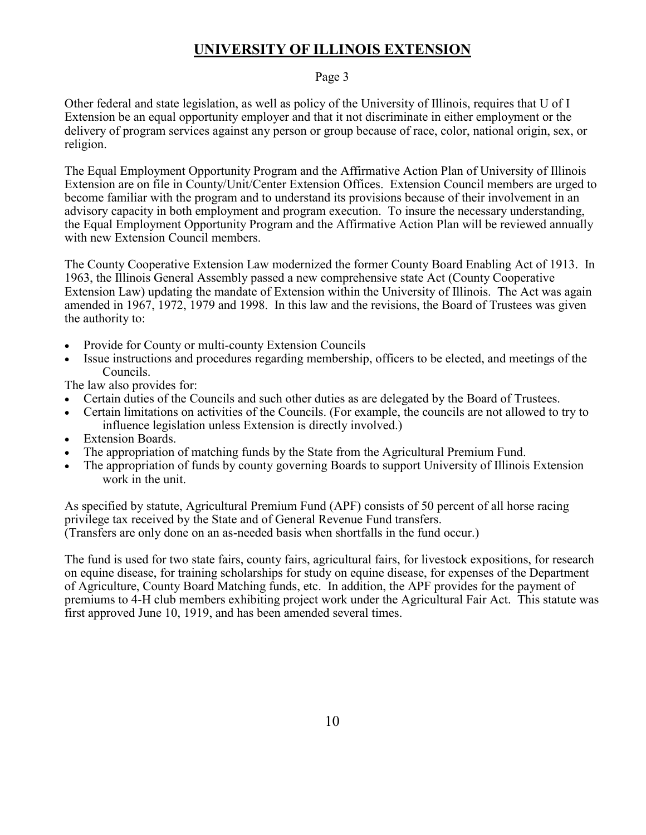### **UNIVERSITY OF ILLINOIS EXTENSION**

#### Page 3

Other federal and state legislation, as well as policy of the University of Illinois, requires that U of I Extension be an equal opportunity employer and that it not discriminate in either employment or the delivery of program services against any person or group because of race, color, national origin, sex, or religion.

The Equal Employment Opportunity Program and the Affirmative Action Plan of University of Illinois Extension are on file in County/Unit/Center Extension Offices. Extension Council members are urged to become familiar with the program and to understand its provisions because of their involvement in an advisory capacity in both employment and program execution. To insure the necessary understanding, the Equal Employment Opportunity Program and the Affirmative Action Plan will be reviewed annually with new Extension Council members.

The County Cooperative Extension Law modernized the former County Board Enabling Act of 1913. In 1963, the Illinois General Assembly passed a new comprehensive state Act (County Cooperative Extension Law) updating the mandate of Extension within the University of Illinois. The Act was again amended in 1967, 1972, 1979 and 1998. In this law and the revisions, the Board of Trustees was given the authority to:

- Provide for County or multi-county Extension Councils
- Issue instructions and procedures regarding membership, officers to be elected, and meetings of the Councils.

The law also provides for:

- Certain duties of the Councils and such other duties as are delegated by the Board of Trustees.
- Certain limitations on activities of the Councils. (For example, the councils are not allowed to try to influence legislation unless Extension is directly involved.)
- Extension Boards.
- The appropriation of matching funds by the State from the Agricultural Premium Fund.
- The appropriation of funds by county governing Boards to support University of Illinois Extension work in the unit.

As specified by statute, Agricultural Premium Fund (APF) consists of 50 percent of all horse racing privilege tax received by the State and of General Revenue Fund transfers. (Transfers are only done on an as-needed basis when shortfalls in the fund occur.)

The fund is used for two state fairs, county fairs, agricultural fairs, for livestock expositions, for research on equine disease, for training scholarships for study on equine disease, for expenses of the Department of Agriculture, County Board Matching funds, etc. In addition, the APF provides for the payment of premiums to 4-H club members exhibiting project work under the Agricultural Fair Act. This statute was first approved June 10, 1919, and has been amended several times.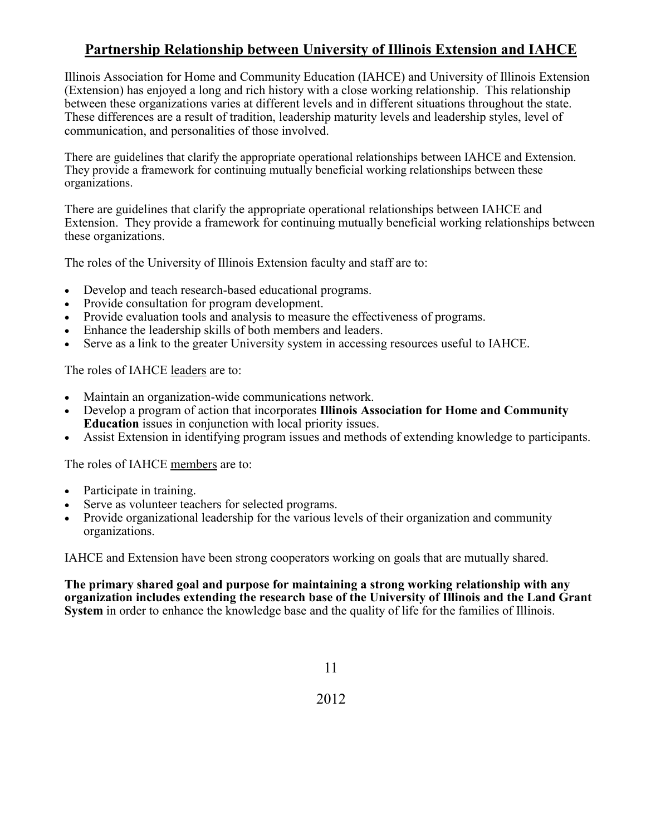# **Partnership Relationship between University of Illinois Extension and IAHCE**

Illinois Association for Home and Community Education (IAHCE) and University of Illinois Extension (Extension) has enjoyed a long and rich history with a close working relationship. This relationship between these organizations varies at different levels and in different situations throughout the state. These differences are a result of tradition, leadership maturity levels and leadership styles, level of communication, and personalities of those involved.

There are guidelines that clarify the appropriate operational relationships between IAHCE and Extension. They provide a framework for continuing mutually beneficial working relationships between these organizations.

There are guidelines that clarify the appropriate operational relationships between IAHCE and Extension. They provide a framework for continuing mutually beneficial working relationships between these organizations.

The roles of the University of Illinois Extension faculty and staff are to:

- Develop and teach research-based educational programs.
- Provide consultation for program development.
- Provide evaluation tools and analysis to measure the effectiveness of programs.
- Enhance the leadership skills of both members and leaders.
- Serve as a link to the greater University system in accessing resources useful to IAHCE.

The roles of IAHCE leaders are to:

- Maintain an organization-wide communications network.
- Develop a program of action that incorporates **Illinois Association for Home and Community Education** issues in conjunction with local priority issues.
- Assist Extension in identifying program issues and methods of extending knowledge to participants.

The roles of IAHCE members are to:

- Participate in training.
- Serve as volunteer teachers for selected programs.
- Provide organizational leadership for the various levels of their organization and community organizations.

IAHCE and Extension have been strong cooperators working on goals that are mutually shared.

**The primary shared goal and purpose for maintaining a strong working relationship with any organization includes extending the research base of the University of Illinois and the Land Grant System** in order to enhance the knowledge base and the quality of life for the families of Illinois.

11